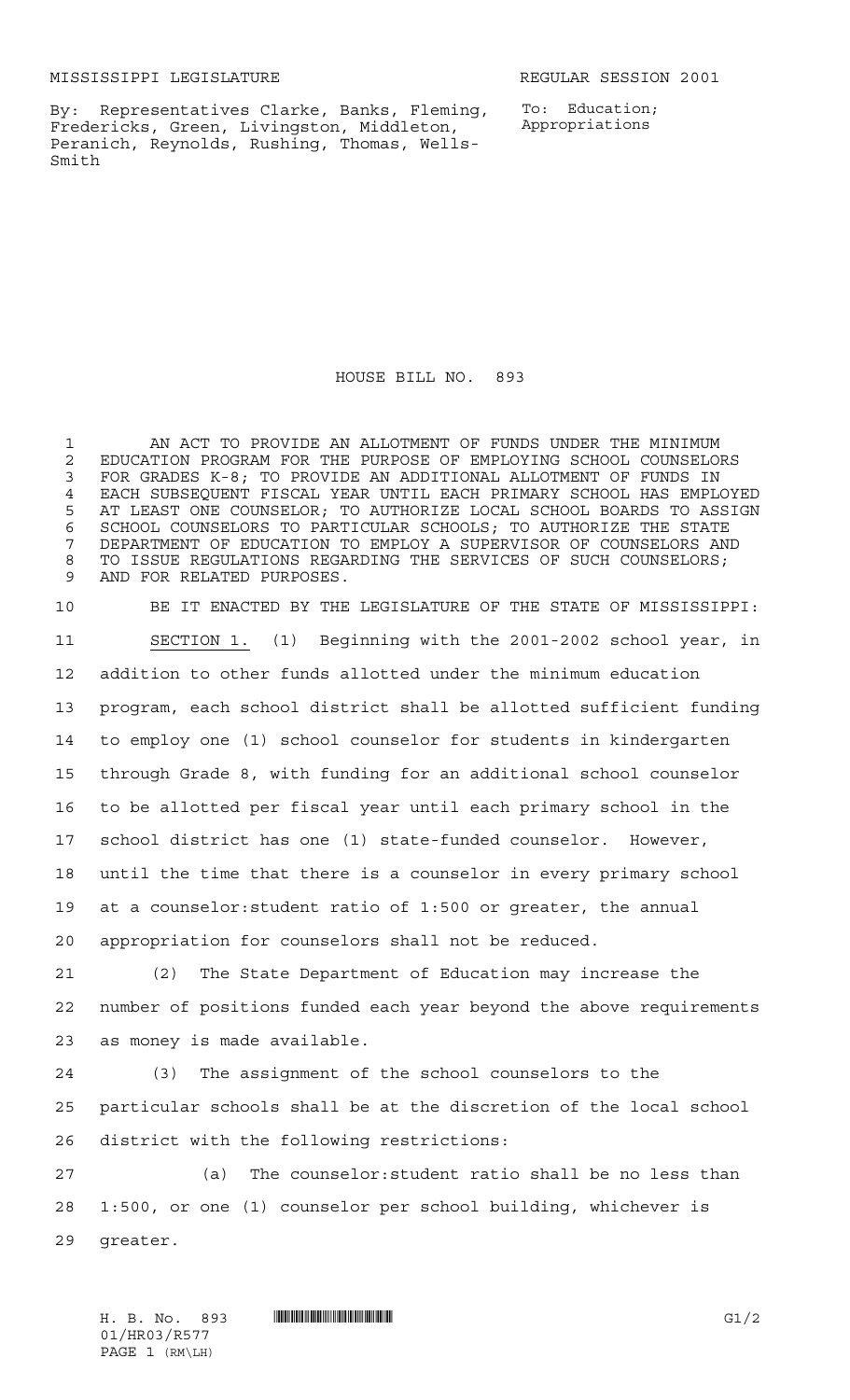MISSISSIPPI LEGISLATURE **REGULAR SESSION 2001** 

By: Representatives Clarke, Banks, Fleming, Fredericks, Green, Livingston, Middleton, Peranich, Reynolds, Rushing, Thomas, Wells-Smith

To: Education; Appropriations

HOUSE BILL NO. 893

 AN ACT TO PROVIDE AN ALLOTMENT OF FUNDS UNDER THE MINIMUM 2 EDUCATION PROGRAM FOR THE PURPOSE OF EMPLOYING SCHOOL COUNSELORS<br>3 FOR GRADES K-8: TO PROVIDE AN ADDITIONAL ALLOTMENT OF FUNDS IN FOR GRADES K-8; TO PROVIDE AN ADDITIONAL ALLOTMENT OF FUNDS IN EACH SUBSEQUENT FISCAL YEAR UNTIL EACH PRIMARY SCHOOL HAS EMPLOYED AT LEAST ONE COUNSELOR; TO AUTHORIZE LOCAL SCHOOL BOARDS TO ASSIGN SCHOOL COUNSELORS TO PARTICULAR SCHOOLS; TO AUTHORIZE THE STATE DEPARTMENT OF EDUCATION TO EMPLOY A SUPERVISOR OF COUNSELORS AND 8 TO ISSUE REGULATIONS REGARDING THE SERVICES OF SUCH COUNSELORS; AND FOR RELATED PURPOSES.

 BE IT ENACTED BY THE LEGISLATURE OF THE STATE OF MISSISSIPPI: SECTION 1. (1) Beginning with the 2001-2002 school year, in addition to other funds allotted under the minimum education program, each school district shall be allotted sufficient funding to employ one (1) school counselor for students in kindergarten through Grade 8, with funding for an additional school counselor to be allotted per fiscal year until each primary school in the school district has one (1) state-funded counselor. However, until the time that there is a counselor in every primary school at a counselor:student ratio of 1:500 or greater, the annual appropriation for counselors shall not be reduced. (2) The State Department of Education may increase the

 number of positions funded each year beyond the above requirements as money is made available.

 (3) The assignment of the school counselors to the particular schools shall be at the discretion of the local school district with the following restrictions:

 (a) The counselor:student ratio shall be no less than 1:500, or one (1) counselor per school building, whichever is greater.

H. B. No. 893 **HROSTAN GI/2** 01/HR03/R577 PAGE 1 (RM\LH)